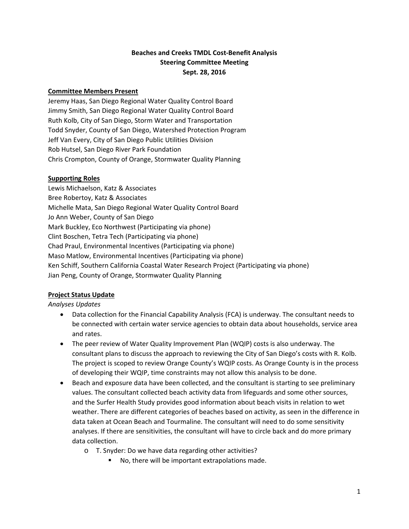# **Beaches and Creeks TMDL Cost‐Benefit Analysis Steering Committee Meeting Sept. 28, 2016**

### **Committee Members Present**

Jeremy Haas, San Diego Regional Water Quality Control Board Jimmy Smith, San Diego Regional Water Quality Control Board Ruth Kolb, City of San Diego, Storm Water and Transportation Todd Snyder, County of San Diego, Watershed Protection Program Jeff Van Every, City of San Diego Public Utilities Division Rob Hutsel, San Diego River Park Foundation Chris Crompton, County of Orange, Stormwater Quality Planning

#### **Supporting Roles**

Lewis Michaelson, Katz & Associates Bree Robertoy, Katz & Associates Michelle Mata, San Diego Regional Water Quality Control Board Jo Ann Weber, County of San Diego Mark Buckley, Eco Northwest (Participating via phone) Clint Boschen, Tetra Tech (Participating via phone) Chad Praul, Environmental Incentives (Participating via phone) Maso Matlow, Environmental Incentives (Participating via phone) Ken Schiff, Southern California Coastal Water Research Project (Participating via phone) Jian Peng, County of Orange, Stormwater Quality Planning

# **Project Status Update**

#### *Analyses Updates*

- Data collection for the Financial Capability Analysis (FCA) is underway. The consultant needs to be connected with certain water service agencies to obtain data about households, service area and rates.
- The peer review of Water Quality Improvement Plan (WQIP) costs is also underway. The consultant plans to discuss the approach to reviewing the City of San Diego's costs with R. Kolb. The project is scoped to review Orange County's WQIP costs. As Orange County is in the process of developing their WQIP, time constraints may not allow this analysis to be done.
- Beach and exposure data have been collected, and the consultant is starting to see preliminary values. The consultant collected beach activity data from lifeguards and some other sources, and the Surfer Health Study provides good information about beach visits in relation to wet weather. There are different categories of beaches based on activity, as seen in the difference in data taken at Ocean Beach and Tourmaline. The consultant will need to do some sensitivity analyses. If there are sensitivities, the consultant will have to circle back and do more primary data collection.
	- o T. Snyder: Do we have data regarding other activities?
		- No, there will be important extrapolations made.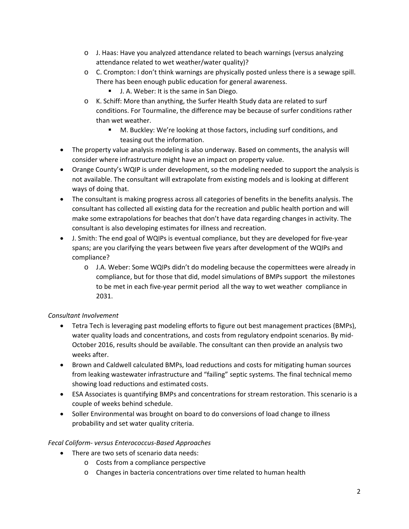- o J. Haas: Have you analyzed attendance related to beach warnings (versus analyzing attendance related to wet weather/water quality)?
- o C. Crompton: I don't think warnings are physically posted unless there is a sewage spill. There has been enough public education for general awareness.
	- J. A. Weber: It is the same in San Diego.
- o K. Schiff: More than anything, the Surfer Health Study data are related to surf conditions. For Tourmaline, the difference may be because of surfer conditions rather than wet weather.
	- M. Buckley: We're looking at those factors, including surf conditions, and teasing out the information.
- The property value analysis modeling is also underway. Based on comments, the analysis will consider where infrastructure might have an impact on property value.
- Orange County's WQIP is under development, so the modeling needed to support the analysis is not available. The consultant will extrapolate from existing models and is looking at different ways of doing that.
- The consultant is making progress across all categories of benefits in the benefits analysis. The consultant has collected all existing data for the recreation and public health portion and will make some extrapolations for beaches that don't have data regarding changes in activity. The consultant is also developing estimates for illness and recreation.
- J. Smith: The end goal of WQIPs is eventual compliance, but they are developed for five‐year spans; are you clarifying the years between five years after development of the WQIPs and compliance?
	- o J.A. Weber: Some WQIPs didn't do modeling because the copermittees were already in compliance, but for those that did, model simulations of BMPs support the milestones to be met in each five‐year permit period all the way to wet weather compliance in 2031.

# *Consultant Involvement*

- Tetra Tech is leveraging past modeling efforts to figure out best management practices (BMPs), water quality loads and concentrations, and costs from regulatory endpoint scenarios. By mid-October 2016, results should be available. The consultant can then provide an analysis two weeks after.
- Brown and Caldwell calculated BMPs, load reductions and costs for mitigating human sources from leaking wastewater infrastructure and "failing" septic systems. The final technical memo showing load reductions and estimated costs.
- ESA Associates is quantifying BMPs and concentrations for stream restoration. This scenario is a couple of weeks behind schedule.
- Soller Environmental was brought on board to do conversions of load change to illness probability and set water quality criteria.

# *Fecal Coliform‐ versus Enterococcus‐Based Approaches*

- There are two sets of scenario data needs:
	- o Costs from a compliance perspective
	- o Changes in bacteria concentrations over time related to human health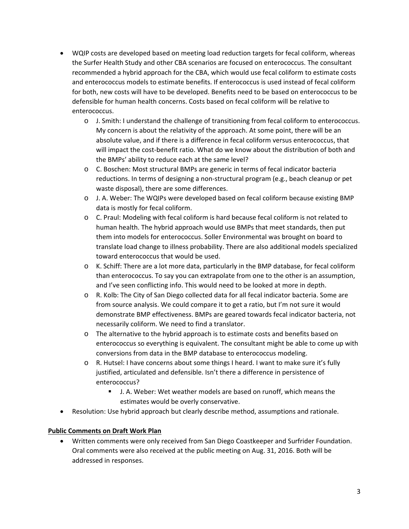- WQIP costs are developed based on meeting load reduction targets for fecal coliform, whereas the Surfer Health Study and other CBA scenarios are focused on enterococcus. The consultant recommended a hybrid approach for the CBA, which would use fecal coliform to estimate costs and enterococcus models to estimate benefits. If enterococcus is used instead of fecal coliform for both, new costs will have to be developed. Benefits need to be based on enterococcus to be defensible for human health concerns. Costs based on fecal coliform will be relative to enterococcus.
	- o J. Smith: I understand the challenge of transitioning from fecal coliform to enterococcus. My concern is about the relativity of the approach. At some point, there will be an absolute value, and if there is a difference in fecal coliform versus enterococcus, that will impact the cost-benefit ratio. What do we know about the distribution of both and the BMPs' ability to reduce each at the same level?
	- o C. Boschen: Most structural BMPs are generic in terms of fecal indicator bacteria reductions. In terms of designing a non‐structural program (e.g., beach cleanup or pet waste disposal), there are some differences.
	- o J. A. Weber: The WQIPs were developed based on fecal coliform because existing BMP data is mostly for fecal coliform.
	- o C. Praul: Modeling with fecal coliform is hard because fecal coliform is not related to human health. The hybrid approach would use BMPs that meet standards, then put them into models for enterococcus. Soller Environmental was brought on board to translate load change to illness probability. There are also additional models specialized toward enterococcus that would be used.
	- o K. Schiff: There are a lot more data, particularly in the BMP database, for fecal coliform than enterococcus. To say you can extrapolate from one to the other is an assumption, and I've seen conflicting info. This would need to be looked at more in depth.
	- o R. Kolb: The City of San Diego collected data for all fecal indicator bacteria. Some are from source analysis. We could compare it to get a ratio, but I'm not sure it would demonstrate BMP effectiveness. BMPs are geared towards fecal indicator bacteria, not necessarily coliform. We need to find a translator.
	- o The alternative to the hybrid approach is to estimate costs and benefits based on enterococcus so everything is equivalent. The consultant might be able to come up with conversions from data in the BMP database to enterococcus modeling.
	- o R. Hutsel: I have concerns about some things I heard. I want to make sure it's fully justified, articulated and defensible. Isn't there a difference in persistence of enterococcus?
		- J. A. Weber: Wet weather models are based on runoff, which means the estimates would be overly conservative.
- Resolution: Use hybrid approach but clearly describe method, assumptions and rationale.

# **Public Comments on Draft Work Plan**

 Written comments were only received from San Diego Coastkeeper and Surfrider Foundation. Oral comments were also received at the public meeting on Aug. 31, 2016. Both will be addressed in responses.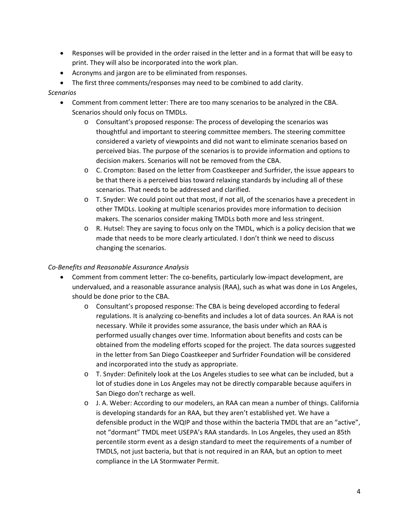- Responses will be provided in the order raised in the letter and in a format that will be easy to print. They will also be incorporated into the work plan.
- Acronyms and jargon are to be eliminated from responses.
- The first three comments/responses may need to be combined to add clarity.

### *Scenarios*

- Comment from comment letter: There are too many scenarios to be analyzed in the CBA. Scenarios should only focus on TMDLs.
	- o Consultant's proposed response: The process of developing the scenarios was thoughtful and important to steering committee members. The steering committee considered a variety of viewpoints and did not want to eliminate scenarios based on perceived bias. The purpose of the scenarios is to provide information and options to decision makers. Scenarios will not be removed from the CBA.
	- o C. Crompton: Based on the letter from Coastkeeper and Surfrider, the issue appears to be that there is a perceived bias toward relaxing standards by including all of these scenarios. That needs to be addressed and clarified.
	- o T. Snyder: We could point out that most, if not all, of the scenarios have a precedent in other TMDLs. Looking at multiple scenarios provides more information to decision makers. The scenarios consider making TMDLs both more and less stringent.
	- o R. Hutsel: They are saying to focus only on the TMDL, which is a policy decision that we made that needs to be more clearly articulated. I don't think we need to discuss changing the scenarios.

# *Co‐Benefits and Reasonable Assurance Analysis*

- Comment from comment letter: The co-benefits, particularly low-impact development, are undervalued, and a reasonable assurance analysis (RAA), such as what was done in Los Angeles, should be done prior to the CBA.
	- o Consultant's proposed response: The CBA is being developed according to federal regulations. It is analyzing co‐benefits and includes a lot of data sources. An RAA is not necessary. While it provides some assurance, the basis under which an RAA is performed usually changes over time. Information about benefits and costs can be obtained from the modeling efforts scoped for the project. The data sources suggested in the letter from San Diego Coastkeeper and Surfrider Foundation will be considered and incorporated into the study as appropriate.
	- o T. Snyder: Definitely look at the Los Angeles studies to see what can be included, but a lot of studies done in Los Angeles may not be directly comparable because aquifers in San Diego don't recharge as well.
	- o J. A. Weber: According to our modelers, an RAA can mean a number of things. California is developing standards for an RAA, but they aren't established yet. We have a defensible product in the WQIP and those within the bacteria TMDL that are an "active", not "dormant" TMDL meet USEPA's RAA standards. In Los Angeles, they used an 85th percentile storm event as a design standard to meet the requirements of a number of TMDLS, not just bacteria, but that is not required in an RAA, but an option to meet compliance in the LA Stormwater Permit.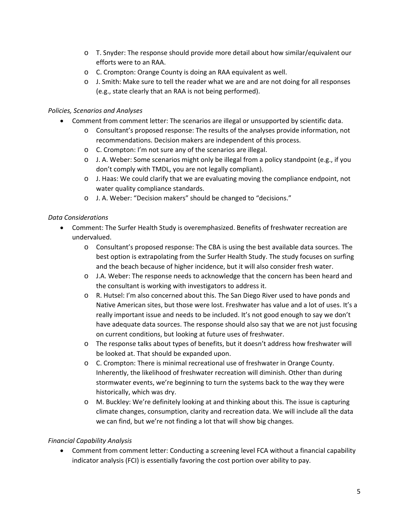- o T. Snyder: The response should provide more detail about how similar/equivalent our efforts were to an RAA.
- o C. Crompton: Orange County is doing an RAA equivalent as well.
- o J. Smith: Make sure to tell the reader what we are and are not doing for all responses (e.g., state clearly that an RAA is not being performed).

# *Policies, Scenarios and Analyses*

- Comment from comment letter: The scenarios are illegal or unsupported by scientific data.
	- o Consultant's proposed response: The results of the analyses provide information, not recommendations. Decision makers are independent of this process.
	- o C. Crompton: I'm not sure any of the scenarios are illegal.
	- o J. A. Weber: Some scenarios might only be illegal from a policy standpoint (e.g., if you don't comply with TMDL, you are not legally compliant).
	- o J. Haas: We could clarify that we are evaluating moving the compliance endpoint, not water quality compliance standards.
	- o J. A. Weber: "Decision makers" should be changed to "decisions."

#### *Data Considerations*

- Comment: The Surfer Health Study is overemphasized. Benefits of freshwater recreation are undervalued.
	- o Consultant's proposed response: The CBA is using the best available data sources. The best option is extrapolating from the Surfer Health Study. The study focuses on surfing and the beach because of higher incidence, but it will also consider fresh water.
	- o J.A. Weber: The response needs to acknowledge that the concern has been heard and the consultant is working with investigators to address it.
	- o R. Hutsel: I'm also concerned about this. The San Diego River used to have ponds and Native American sites, but those were lost. Freshwater has value and a lot of uses. It's a really important issue and needs to be included. It's not good enough to say we don't have adequate data sources. The response should also say that we are not just focusing on current conditions, but looking at future uses of freshwater.
	- o The response talks about types of benefits, but it doesn't address how freshwater will be looked at. That should be expanded upon.
	- o C. Crompton: There is minimal recreational use of freshwater in Orange County. Inherently, the likelihood of freshwater recreation will diminish. Other than during stormwater events, we're beginning to turn the systems back to the way they were historically, which was dry.
	- o M. Buckley: We're definitely looking at and thinking about this. The issue is capturing climate changes, consumption, clarity and recreation data. We will include all the data we can find, but we're not finding a lot that will show big changes.

# *Financial Capability Analysis*

 Comment from comment letter: Conducting a screening level FCA without a financial capability indicator analysis (FCI) is essentially favoring the cost portion over ability to pay.